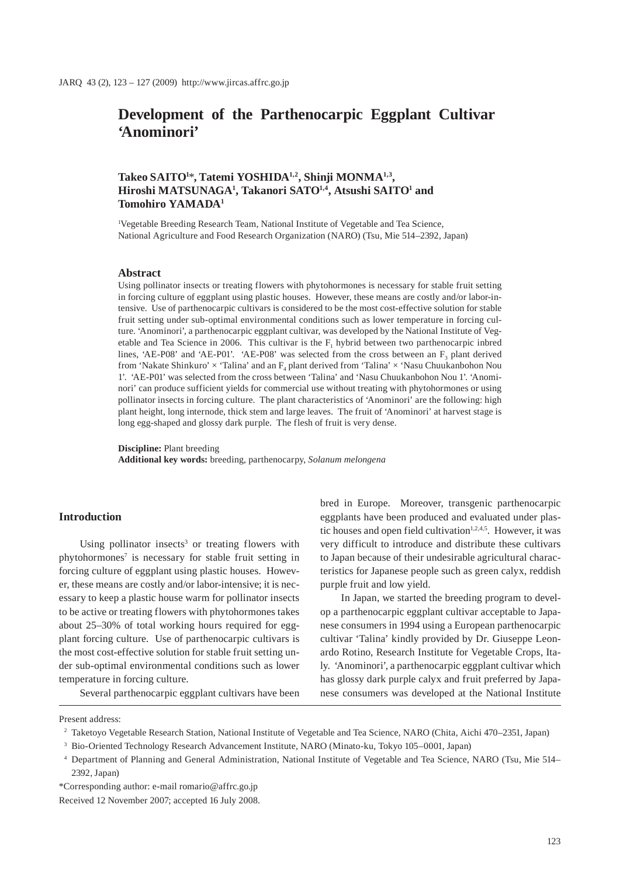# **Development of the Parthenocarpic Eggplant Cultivar 'Anominori'**

# **Takeo SAITO1** \***, Tatemi YOSHIDA1,2, Shinji MONMA1,3, Hiroshi MATSUNAGA1 , Takanori SATO1,4, Atsushi SAITO1 and Tomohiro YAMADA1**

1 Vegetable Breeding Research Team, National Institute of Vegetable and Tea Science, National Agriculture and Food Research Organization (NARO) (Tsu, Mie 514–2392, Japan)

#### **Abstract**

Using pollinator insects or treating flowers with phytohormones is necessary for stable fruit setting in forcing culture of eggplant using plastic houses. However, these means are costly and/or labor-intensive. Use of parthenocarpic cultivars is considered to be the most cost-effective solution for stable fruit setting under sub-optimal environmental conditions such as lower temperature in forcing culture. 'Anominori', a parthenocarpic eggplant cultivar, was developed by the National Institute of Vegetable and Tea Science in 2006. This cultivar is the  $F<sub>1</sub>$  hybrid between two parthenocarpic inbred lines, 'AE-P08' and 'AE-P01'. 'AE-P08' was selected from the cross between an  $F_3$  plant derived from 'Nakate Shinkuro'  $\times$  'Talina' and an  $F_4$  plant derived from 'Talina'  $\times$  'Nasu Chuukanbohon Nou 1'. 'AE-P01' was selected from the cross between 'Talina' and 'Nasu Chuukanbohon Nou 1'. 'Anominori' can produce sufficient yields for commercial use without treating with phytohormones or using pollinator insects in forcing culture. The plant characteristics of 'Anominori' are the following: high plant height, long internode, thick stem and large leaves. The fruit of 'Anominori' at harvest stage is long egg-shaped and glossy dark purple. The flesh of fruit is very dense.

**Discipline:** Plant breeding **Additional key words:** breeding, parthenocarpy, *Solanum melongena*

### **Introduction**

Using pollinator insects<sup>3</sup> or treating flowers with phytohormones<sup>7</sup> is necessary for stable fruit setting in forcing culture of eggplant using plastic houses. However, these means are costly and/or labor-intensive; it is necessary to keep a plastic house warm for pollinator insects to be active or treating flowers with phytohormones takes about 25–30% of total working hours required for eggplant forcing culture. Use of parthenocarpic cultivars is the most cost-effective solution for stable fruit setting under sub-optimal environmental conditions such as lower temperature in forcing culture.

Several parthenocarpic eggplant cultivars have been

bred in Europe. Moreover, transgenic parthenocarpic eggplants have been produced and evaluated under plastic houses and open field cultivation $1,2,4,5$ . However, it was very difficult to introduce and distribute these cultivars to Japan because of their undesirable agricultural characteristics for Japanese people such as green calyx, reddish purple fruit and low yield.

In Japan, we started the breeding program to develop a parthenocarpic eggplant cultivar acceptable to Japanese consumers in 1994 using a European parthenocarpic cultivar 'Talina' kindly provided by Dr. Giuseppe Leonardo Rotino, Research Institute for Vegetable Crops, Italy. 'Anominori', a parthenocarpic eggplant cultivar which has glossy dark purple calyx and fruit preferred by Japanese consumers was developed at the National Institute

Present address:

- 2 Taketoyo Vegetable Research Station, National Institute of Vegetable and Tea Science, NARO (Chita, Aichi 470–2351, Japan)
- 3 Bio-Oriented Technology Research Advancement Institute, NARO (Minato-ku, Tokyo 105–0001, Japan)
- 4 Department of Planning and General Administration, National Institute of Vegetable and Tea Science, NARO (Tsu, Mie 514– 2392, Japan)

\*Corresponding author: e-mail romario@affrc.go.jp Received 12 November 2007; accepted 16 July 2008.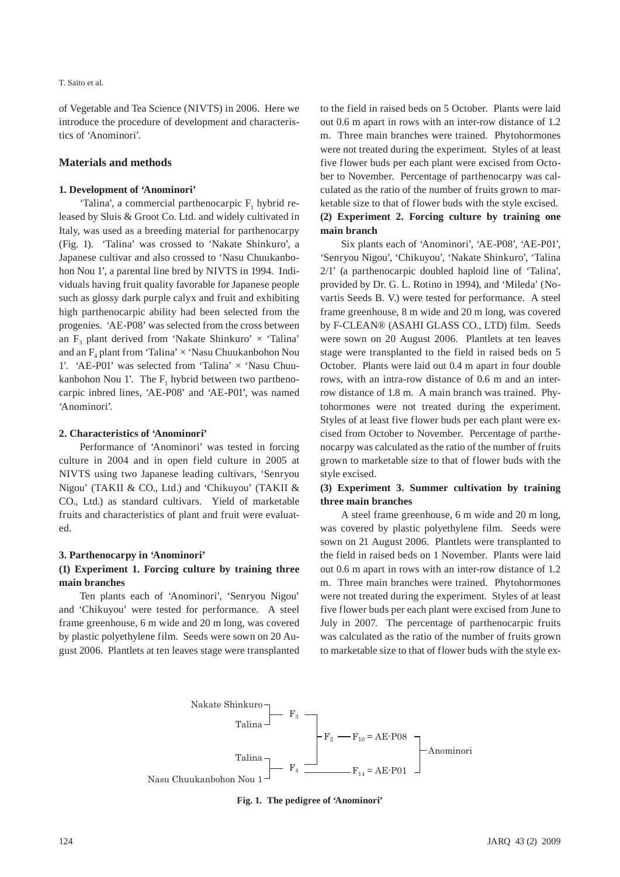#### T. Saito et al.

of Vegetable and Tea Science (NIVTS) in 2006. Here we introduce the procedure of development and characteristics of 'Anominori'.

### **Materials and methods**

#### **1. Development of 'Anominori'**

'Talina', a commercial parthenocarpic  $F_1$  hybrid released by Sluis & Groot Co. Ltd. and widely cultivated in Italy, was used as a breeding material for parthenocarpy (Fig. 1). 'Talina' was crossed to 'Nakate Shinkuro', a Japanese cultivar and also crossed to 'Nasu Chuukanbohon Nou 1', a parental line bred by NIVTS in 1994. Individuals having fruit quality favorable for Japanese people such as glossy dark purple calyx and fruit and exhibiting high parthenocarpic ability had been selected from the progenies. 'AE-P08' was selected from the cross between an F<sub>2</sub> plant derived from 'Nakate Shinkuro'  $\times$  'Talina' and an  $F_4$  plant from 'Talina'  $\times$  'Nasu Chuukanbohon Nou 1'. 'AE-P01' was selected from 'Talina' × 'Nasu Chuukanbohon Nou 1'. The  $F_1$  hybrid between two parthenocarpic inbred lines, 'AE-P08' and 'AE-P01', was named 'Anominori'.

### **2. Characteristics of 'Anominori'**

Performance of 'Anominori' was tested in forcing culture in 2004 and in open field culture in 2005 at NIVTS using two Japanese leading cultivars, 'Senryou Nigou' (TAKII & CO., Ltd.) and 'Chikuyou' (TAKII & CO., Ltd.) as standard cultivars. Yield of marketable fruits and characteristics of plant and fruit were evaluated.

#### **3. Parthenocarpy in 'Anominori'**

### **(1) Experiment 1. Forcing culture by training three main branches**

Ten plants each of 'Anominori', 'Senryou Nigou' and 'Chikuyou' were tested for performance. A steel frame greenhouse, 6 m wide and 20 m long, was covered by plastic polyethylene film. Seeds were sown on 20 August 2006. Plantlets at ten leaves stage were transplanted to the field in raised beds on 5 October. Plants were laid out 0.6 m apart in rows with an inter-row distance of 1.2 m. Three main branches were trained. Phytohormones were not treated during the experiment. Styles of at least five flower buds per each plant were excised from October to November. Percentage of parthenocarpy was calculated as the ratio of the number of fruits grown to marketable size to that of flower buds with the style excised. **(2) Experiment 2. Forcing culture by training one main branch**

Six plants each of 'Anominori', 'AE-P08', 'AE-P01', 'Senryou Nigou', 'Chikuyou', 'Nakate Shinkuro', 'Talina 2/1' (a parthenocarpic doubled haploid line of 'Talina', provided by Dr. G. L. Rotino in 1994), and 'Mileda' (Novartis Seeds B. V.) were tested for performance. A steel frame greenhouse, 8 m wide and 20 m long, was covered by F-CLEAN® (ASAHI GLASS CO., LTD) film. Seeds were sown on 20 August 2006. Plantlets at ten leaves stage were transplanted to the field in raised beds on 5 October. Plants were laid out 0.4 m apart in four double rows, with an intra-row distance of 0.6 m and an interrow distance of 1.8 m. A main branch was trained. Phytohormones were not treated during the experiment. Styles of at least five flower buds per each plant were excised from October to November. Percentage of parthenocarpy was calculated as the ratio of the number of fruits grown to marketable size to that of flower buds with the style excised.

### **(3) Experiment 3. Summer cultivation by training three main branches**

A steel frame greenhouse, 6 m wide and 20 m long, was covered by plastic polyethylene film. Seeds were sown on 21 August 2006. Plantlets were transplanted to the field in raised beds on 1 November. Plants were laid out 0.6 m apart in rows with an inter-row distance of 1.2 m. Three main branches were trained. Phytohormones were not treated during the experiment. Styles of at least five flower buds per each plant were excised from June to July in 2007. The percentage of parthenocarpic fruits was calculated as the ratio of the number of fruits grown to marketable size to that of flower buds with the style ex-



**Fig. 1. The pedigree of 'Anominori'**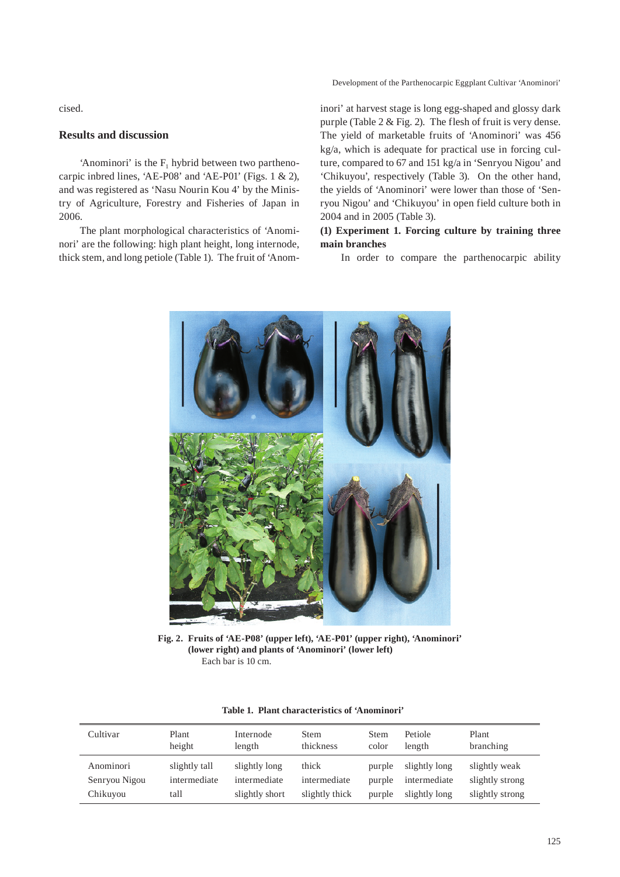Development of the Parthenocarpic Eggplant Cultivar 'Anominori'

cised.

# **Results and discussion**

'Anominori' is the  $F_1$  hybrid between two parthenocarpic inbred lines, 'AE-P08' and 'AE-P01' (Figs. 1 & 2), and was registered as 'Nasu Nourin Kou 4' by the Ministry of Agriculture, Forestry and Fisheries of Japan in 2006.

The plant morphological characteristics of 'Anominori' are the following: high plant height, long internode, thick stem, and long petiole (Table 1). The fruit of 'Anominori' at harvest stage is long egg-shaped and glossy dark purple (Table 2 & Fig. 2). The flesh of fruit is very dense. The yield of marketable fruits of 'Anominori' was 456 kg/a, which is adequate for practical use in forcing culture, compared to 67 and 151 kg/a in 'Senryou Nigou' and 'Chikuyou', respectively (Table 3). On the other hand, the yields of 'Anominori' were lower than those of 'Senryou Nigou' and 'Chikuyou' in open field culture both in 2004 and in 2005 (Table 3).

# **(1) Experiment 1. Forcing culture by training three main branches**

In order to compare the parthenocarpic ability



**Fig. 2. Fruits of 'AE-P08' (upper left), 'AE-P01' (upper right), 'Anominori' (lower right) and plants of 'Anominori' (lower left)**  Each bar is 10 cm.

| Cultivar      | Plant<br>height | Internode<br>length | <b>Stem</b><br>thickness | <b>Stem</b><br>color | Petiole<br>length | Plant<br>branching |
|---------------|-----------------|---------------------|--------------------------|----------------------|-------------------|--------------------|
| Anominori     | slightly tall   | slightly long       | thick                    | purple               | slightly long     | slightly weak      |
| Senryou Nigou | intermediate    | intermediate        | intermediate             | purple               | intermediate      | slightly strong    |
| Chikuyou      | tall            | slightly short      | slightly thick           | purple               | slightly long     | slightly strong    |

|  |  | Table 1. Plant characteristics of 'Anominori' |  |  |
|--|--|-----------------------------------------------|--|--|
|--|--|-----------------------------------------------|--|--|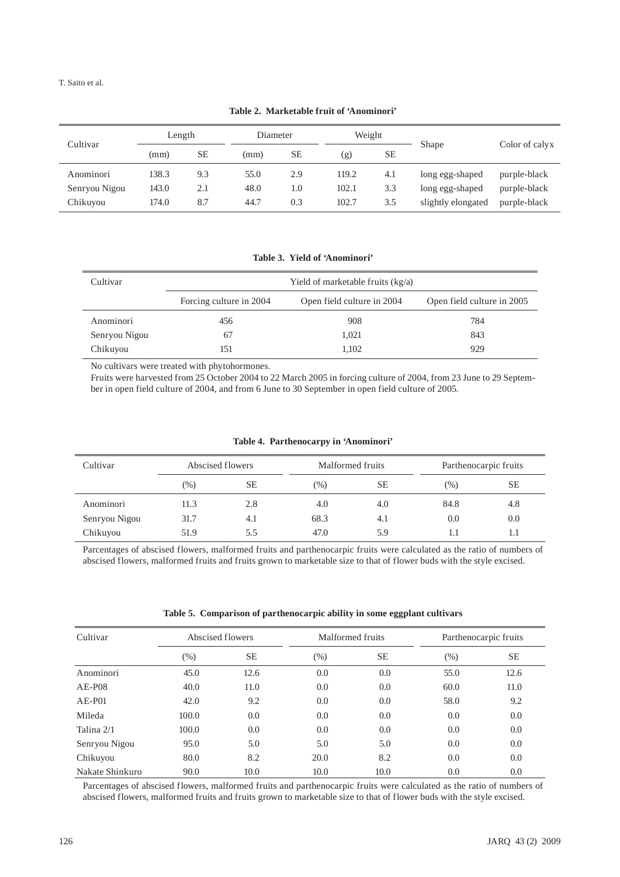T. Saito et al.

| Cultivar      | Length |           | Diameter |     | Weight |           |                    |                |
|---------------|--------|-----------|----------|-----|--------|-----------|--------------------|----------------|
|               | (mm)   | <b>SE</b> | (mm)     | SЕ  | (g)    | <b>SE</b> | Shape              | Color of calvx |
| Anominori     | 138.3  | 9.3       | 55.0     | 2.9 | 119.2  | 4.1       | long egg-shaped    | purple-black   |
| Senryou Nigou | 143.0  | 2.1       | 48.0     | 1.0 | 102.1  | 3.3       | long egg-shaped    | purple-black   |
| Chikuyou      | 174.0  | 8.7       | 44.7     | 0.3 | 102.7  | 3.5       | slightly elongated | purple-black   |

**Table 2. Marketable fruit of 'Anominori'**

**Table 3. Yield of 'Anominori'**

| Cultivar      | Yield of marketable fruits $(kg/a)$ |                            |                            |  |  |  |  |
|---------------|-------------------------------------|----------------------------|----------------------------|--|--|--|--|
|               | Forcing culture in 2004             | Open field culture in 2004 | Open field culture in 2005 |  |  |  |  |
| Anominori     | 456                                 | 908                        | 784                        |  |  |  |  |
| Senryou Nigou | 67                                  | 1.021                      | 843                        |  |  |  |  |
| Chikuyou      | 51                                  | 1.102                      | 929                        |  |  |  |  |

No cultivars were treated with phytohormones.

Fruits were harvested from 25 October 2004 to 22 March 2005 in forcing culture of 2004, from 23 June to 29 September in open field culture of 2004, and from 6 June to 30 September in open field culture of 2005.

|  | Table 4. Parthenocarpy in 'Anominori' |  |  |
|--|---------------------------------------|--|--|
|--|---------------------------------------|--|--|

| Cultivar      | Abscised flowers |           |      | Malformed fruits |      | Parthenocarpic fruits |  |
|---------------|------------------|-----------|------|------------------|------|-----------------------|--|
|               | $(\%)$           | <b>SE</b> | (% ) | SЕ               | (%)  | <b>SE</b>             |  |
| Anominori     | 11.3             | 2.8       | 4.0  | 4.0              | 84.8 | 4.8                   |  |
| Senryou Nigou | 31.7             | 4.1       | 68.3 | 4.1              | 0.0  | 0.0                   |  |
| Chikuyou      | 51.9             | 5.5       | 47.0 | 5.9              |      |                       |  |

Parcentages of abscised flowers, malformed fruits and parthenocarpic fruits were calculated as the ratio of numbers of abscised flowers, malformed fruits and fruits grown to marketable size to that of flower buds with the style excised.

**Table 5. Comparison of parthenocarpic ability in some eggplant cultivars**

| Cultivar        | Abscised flowers |      | Malformed fruits |           | Parthenocarpic fruits |      |
|-----------------|------------------|------|------------------|-----------|-----------------------|------|
|                 | (%)              | SЕ   | $(\% )$          | <b>SE</b> | (% )                  | SЕ   |
| Anominori       | 45.0             | 12.6 | 0.0              | 0.0       | 55.0                  | 12.6 |
| $AE$ -P08       | 40.0             | 11.0 | 0.0              | 0.0       | 60.0                  | 11.0 |
| $AE-PO1$        | 42.0             | 9.2  | 0.0              | 0.0       | 58.0                  | 9.2  |
| Mileda          | 100.0            | 0.0  | 0.0              | 0.0       | 0.0                   | 0.0  |
| Talina 2/1      | 100.0            | 0.0  | 0.0              | 0.0       | 0.0                   | 0.0  |
| Senryou Nigou   | 95.0             | 5.0  | 5.0              | 5.0       | 0.0                   | 0.0  |
| Chikuyou        | 80.0             | 8.2  | 20.0             | 8.2       | 0.0                   | 0.0  |
| Nakate Shinkuro | 90.0             | 10.0 | 10.0             | 10.0      | 0.0                   | 0.0  |

Parcentages of abscised flowers, malformed fruits and parthenocarpic fruits were calculated as the ratio of numbers of abscised flowers, malformed fruits and fruits grown to marketable size to that of flower buds with the style excised.